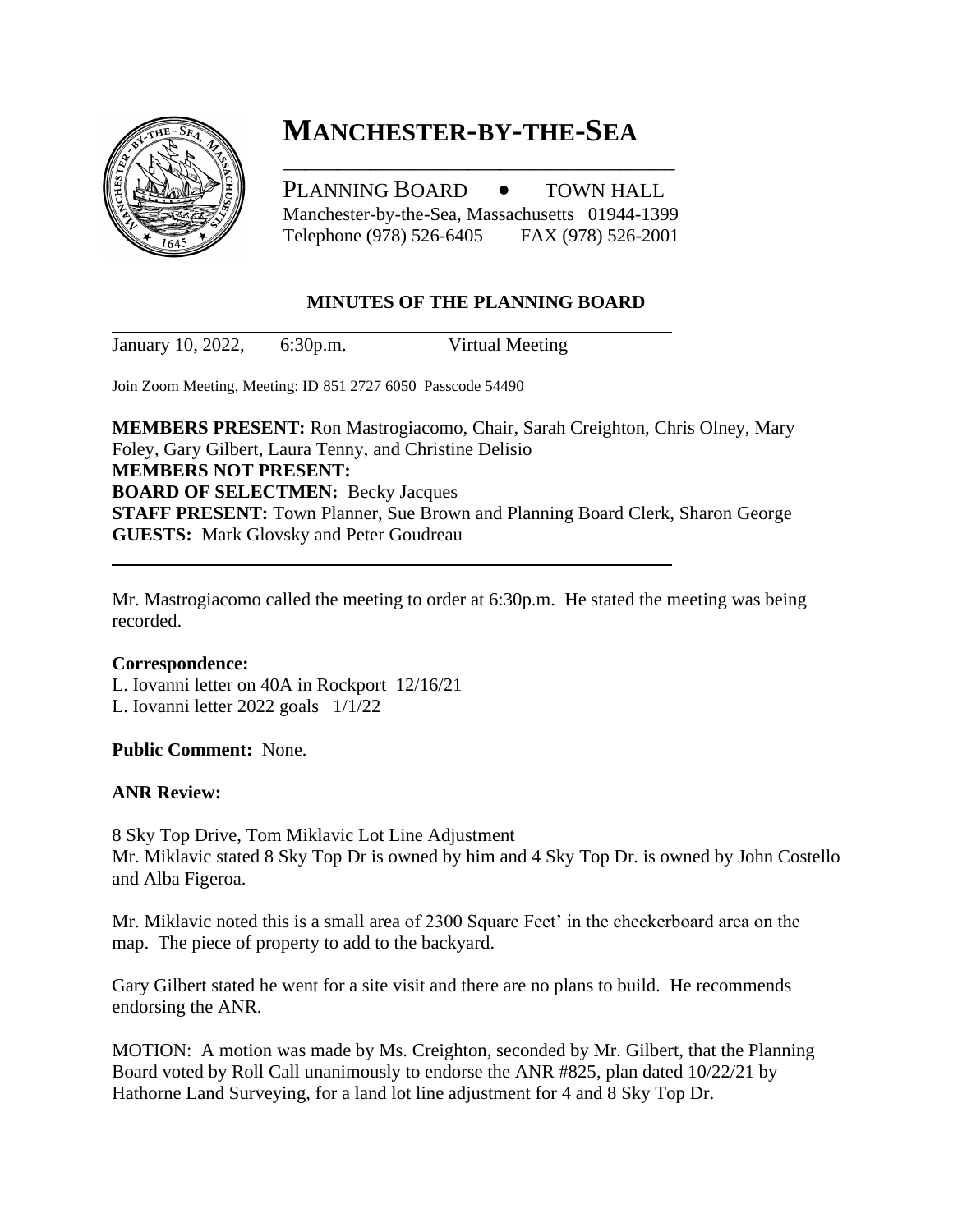

# **MANCHESTER-BY-THE-SEA**

PLANNING BOARD • TOWN HALL Manchester-by-the-Sea, Massachusetts 01944-1399 Telephone (978) 526-6405 FAX (978) 526-2001

\_\_\_\_\_\_\_\_\_\_\_\_\_\_\_\_\_\_\_\_\_\_\_\_\_\_\_\_\_\_\_\_\_\_\_\_

## **MINUTES OF THE PLANNING BOARD**

January 10, 2022, 6:30p.m. Virtual Meeting

Join Zoom Meeting, Meeting: ID 851 2727 6050 Passcode 54490

**MEMBERS PRESENT:** Ron Mastrogiacomo, Chair, Sarah Creighton, Chris Olney, Mary Foley, Gary Gilbert, Laura Tenny, and Christine Delisio **MEMBERS NOT PRESENT: BOARD OF SELECTMEN:** Becky Jacques **STAFF PRESENT:** Town Planner, Sue Brown and Planning Board Clerk, Sharon George **GUESTS:** Mark Glovsky and Peter Goudreau

Mr. Mastrogiacomo called the meeting to order at 6:30p.m. He stated the meeting was being recorded.

### **Correspondence:**

L. Iovanni letter on 40A in Rockport 12/16/21 L. Iovanni letter 2022 goals 1/1/22

**Public Comment:** None.

### **ANR Review:**

8 Sky Top Drive, Tom Miklavic Lot Line Adjustment Mr. Miklavic stated 8 Sky Top Dr is owned by him and 4 Sky Top Dr. is owned by John Costello and Alba Figeroa.

Mr. Miklavic noted this is a small area of 2300 Square Feet' in the checkerboard area on the map. The piece of property to add to the backyard.

Gary Gilbert stated he went for a site visit and there are no plans to build. He recommends endorsing the ANR.

MOTION: A motion was made by Ms. Creighton, seconded by Mr. Gilbert, that the Planning Board voted by Roll Call unanimously to endorse the ANR #825, plan dated 10/22/21 by Hathorne Land Surveying, for a land lot line adjustment for 4 and 8 Sky Top Dr.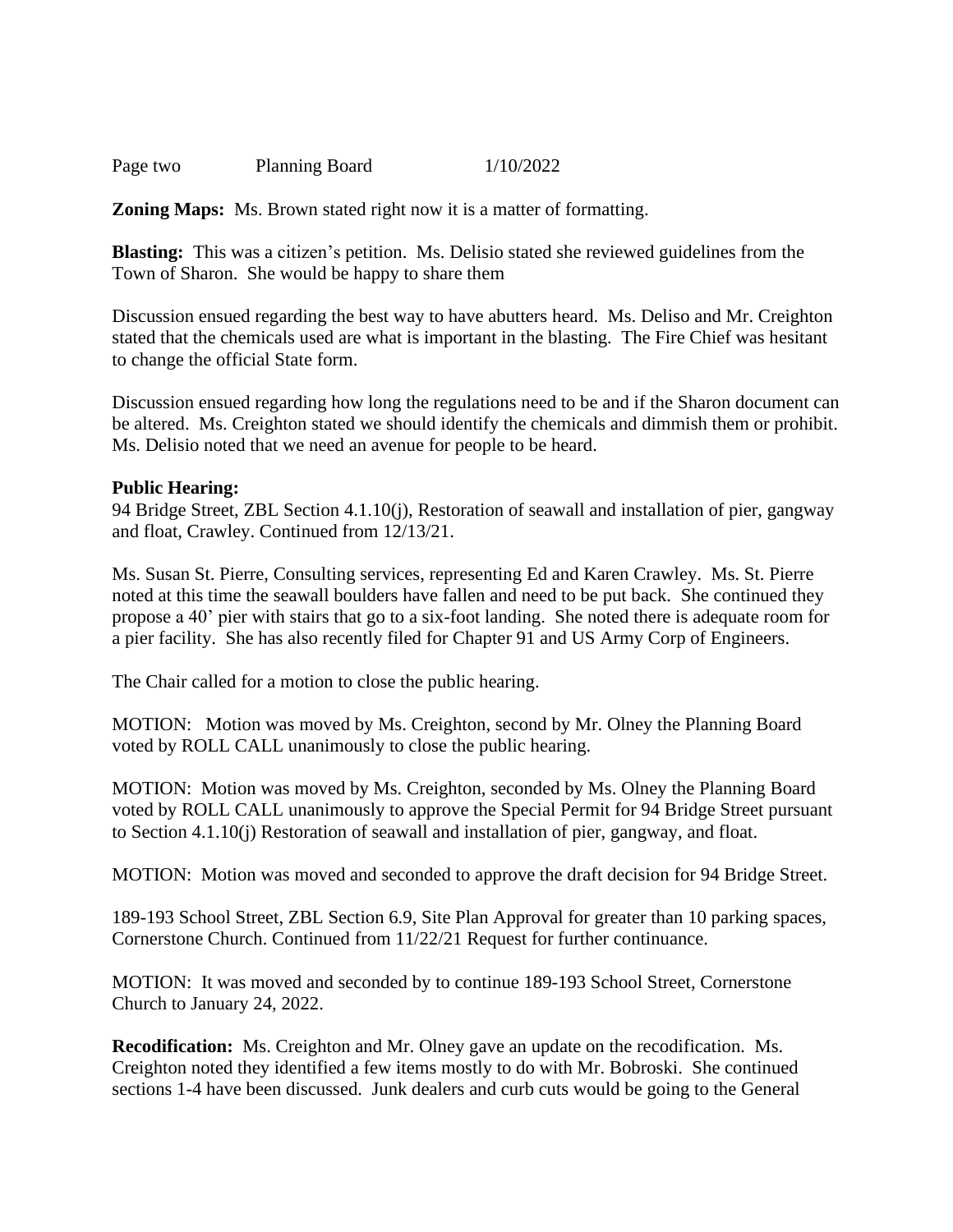| Page two | <b>Planning Board</b> | 1/10/2022 |
|----------|-----------------------|-----------|
|          |                       |           |

**Zoning Maps:** Ms. Brown stated right now it is a matter of formatting.

**Blasting:** This was a citizen's petition. Ms. Delisio stated she reviewed guidelines from the Town of Sharon. She would be happy to share them

Discussion ensued regarding the best way to have abutters heard. Ms. Deliso and Mr. Creighton stated that the chemicals used are what is important in the blasting. The Fire Chief was hesitant to change the official State form.

Discussion ensued regarding how long the regulations need to be and if the Sharon document can be altered. Ms. Creighton stated we should identify the chemicals and dimmish them or prohibit. Ms. Delisio noted that we need an avenue for people to be heard.

#### **Public Hearing:**

94 Bridge Street, ZBL Section 4.1.10(j), Restoration of seawall and installation of pier, gangway and float, Crawley. Continued from 12/13/21.

Ms. Susan St. Pierre, Consulting services, representing Ed and Karen Crawley. Ms. St. Pierre noted at this time the seawall boulders have fallen and need to be put back. She continued they propose a 40' pier with stairs that go to a six-foot landing. She noted there is adequate room for a pier facility. She has also recently filed for Chapter 91 and US Army Corp of Engineers.

The Chair called for a motion to close the public hearing.

MOTION: Motion was moved by Ms. Creighton, second by Mr. Olney the Planning Board voted by ROLL CALL unanimously to close the public hearing.

MOTION: Motion was moved by Ms. Creighton, seconded by Ms. Olney the Planning Board voted by ROLL CALL unanimously to approve the Special Permit for 94 Bridge Street pursuant to Section 4.1.10(j) Restoration of seawall and installation of pier, gangway, and float.

MOTION: Motion was moved and seconded to approve the draft decision for 94 Bridge Street.

189-193 School Street, ZBL Section 6.9, Site Plan Approval for greater than 10 parking spaces, Cornerstone Church. Continued from 11/22/21 Request for further continuance.

MOTION: It was moved and seconded by to continue 189-193 School Street, Cornerstone Church to January 24, 2022.

**Recodification:** Ms. Creighton and Mr. Olney gave an update on the recodification. Ms. Creighton noted they identified a few items mostly to do with Mr. Bobroski. She continued sections 1-4 have been discussed. Junk dealers and curb cuts would be going to the General